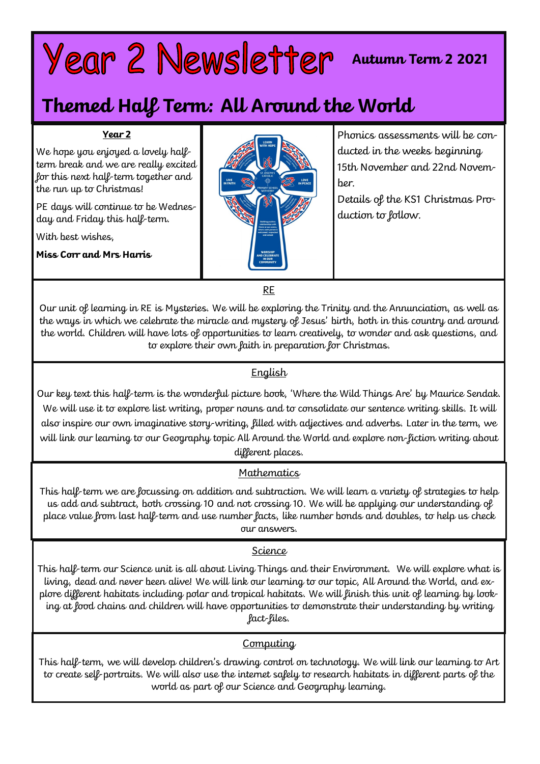# Year 2 Newsletter Autumn Term 2 2021

# **Themed Half Term: All Around the World**

#### **Year 2**

We hope you enjoyed a lovely halfterm break and we are really excited for this next half-term together and the run up to Christmas!

PE days will continue to be Wednesday and Friday this half-term.

With best wishes,

**Miss Corr and Mrs Harris**



Phonics assessments will be conducted in the weeks beginning 15th November and 22nd November.

Details of the KS1 Christmas Production to follow.

RE

Our unit of learning in RE is Mysteries. We will be exploring the Trinity and the Annunciation, as well as the ways in which we celebrate the miracle and mystery of Jesus' birth, both in this country and around the world. Children will have lots of opportunities to learn creatively, to wonder and ask questions, and to explore their own faith in preparation for Christmas.

# **English**

Our key text this half-term is the wonderful picture book, 'Where the Wild Things Are' by Maurice Sendak. We will use it to explore list writing, proper nouns and to consolidate our sentence writing skills. It will also inspire our own imaginative story-writing, filled with adjectives and adverbs. Later in the term, we will link our learning to our Geography topic All Around the World and explore non-fiction writing about different places.

# **Mathematics**

This half-term we are focussing on addition and subtraction. We will learn a variety of strategies to help us add and subtract, both crossing 10 and not crossing 10. We will be applying our understanding of place value from last half-term and use number facts, like number bonds and doubles, to help us check our answers.

# Science

This half-term our Science unit is all about Living Things and their Environment. We will explore what is living, dead and never been alive! We will link our learning to our topic, All Around the World, and explore different habitats including polar and tropical habitats. We will finish this unit of learning by looking at food chains and children will have opportunities to demonstrate their understanding by writing fact-files.

# **Computing**

This half-term, we will develop children's drawing control on technology. We will link our learning to Art to create self-portraits. We will also use the internet safely to research habitats in different parts of the world as part of our Science and Geography learning.